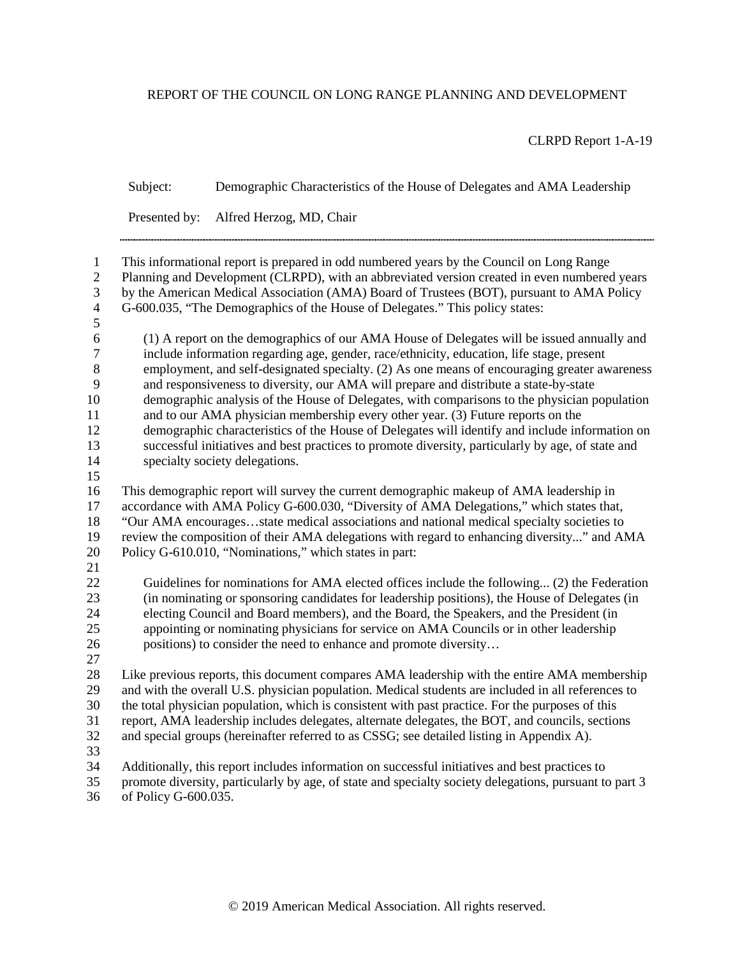## REPORT OF THE COUNCIL ON LONG RANGE PLANNING AND DEVELOPMENT

CLRPD Report 1-A-19

|                                                                                  | Subject:                                                                                                                                                                                                                                                                                                                                                                                                                                  | Demographic Characteristics of the House of Delegates and AMA Leadership                                                                                                                                                                                                                                                                                                                                                                                                                                                                                                                                                                                                                                                                                                                                     |
|----------------------------------------------------------------------------------|-------------------------------------------------------------------------------------------------------------------------------------------------------------------------------------------------------------------------------------------------------------------------------------------------------------------------------------------------------------------------------------------------------------------------------------------|--------------------------------------------------------------------------------------------------------------------------------------------------------------------------------------------------------------------------------------------------------------------------------------------------------------------------------------------------------------------------------------------------------------------------------------------------------------------------------------------------------------------------------------------------------------------------------------------------------------------------------------------------------------------------------------------------------------------------------------------------------------------------------------------------------------|
|                                                                                  | Presented by:                                                                                                                                                                                                                                                                                                                                                                                                                             | Alfred Herzog, MD, Chair                                                                                                                                                                                                                                                                                                                                                                                                                                                                                                                                                                                                                                                                                                                                                                                     |
| $\mathbf{1}$<br>$\overline{2}$<br>3<br>$\overline{\mathcal{L}}$<br>5             |                                                                                                                                                                                                                                                                                                                                                                                                                                           | This informational report is prepared in odd numbered years by the Council on Long Range<br>Planning and Development (CLRPD), with an abbreviated version created in even numbered years<br>by the American Medical Association (AMA) Board of Trustees (BOT), pursuant to AMA Policy<br>G-600.035, "The Demographics of the House of Delegates." This policy states:                                                                                                                                                                                                                                                                                                                                                                                                                                        |
| $\sqrt{6}$<br>$\boldsymbol{7}$<br>$8\,$<br>9<br>10<br>11<br>12<br>13<br>14<br>15 |                                                                                                                                                                                                                                                                                                                                                                                                                                           | (1) A report on the demographics of our AMA House of Delegates will be issued annually and<br>include information regarding age, gender, race/ethnicity, education, life stage, present<br>employment, and self-designated specialty. (2) As one means of encouraging greater awareness<br>and responsiveness to diversity, our AMA will prepare and distribute a state-by-state<br>demographic analysis of the House of Delegates, with comparisons to the physician population<br>and to our AMA physician membership every other year. (3) Future reports on the<br>demographic characteristics of the House of Delegates will identify and include information on<br>successful initiatives and best practices to promote diversity, particularly by age, of state and<br>specialty society delegations. |
| 16<br>17<br>18<br>19<br>20<br>21                                                 | This demographic report will survey the current demographic makeup of AMA leadership in<br>accordance with AMA Policy G-600.030, "Diversity of AMA Delegations," which states that,<br>"Our AMA encouragesstate medical associations and national medical specialty societies to<br>review the composition of their AMA delegations with regard to enhancing diversity" and AMA<br>Policy G-610.010, "Nominations," which states in part: |                                                                                                                                                                                                                                                                                                                                                                                                                                                                                                                                                                                                                                                                                                                                                                                                              |
| 22<br>23<br>24<br>25<br>26<br>27                                                 |                                                                                                                                                                                                                                                                                                                                                                                                                                           | Guidelines for nominations for AMA elected offices include the following (2) the Federation<br>(in nominating or sponsoring candidates for leadership positions), the House of Delegates (in<br>electing Council and Board members), and the Board, the Speakers, and the President (in<br>appointing or nominating physicians for service on AMA Councils or in other leadership<br>positions) to consider the need to enhance and promote diversity                                                                                                                                                                                                                                                                                                                                                        |
| 28<br>29<br>30<br>31<br>32<br>33                                                 |                                                                                                                                                                                                                                                                                                                                                                                                                                           | Like previous reports, this document compares AMA leadership with the entire AMA membership<br>and with the overall U.S. physician population. Medical students are included in all references to<br>the total physician population, which is consistent with past practice. For the purposes of this<br>report, AMA leadership includes delegates, alternate delegates, the BOT, and councils, sections<br>and special groups (hereinafter referred to as CSSG; see detailed listing in Appendix A).                                                                                                                                                                                                                                                                                                        |
| 34<br>35                                                                         |                                                                                                                                                                                                                                                                                                                                                                                                                                           | Additionally, this report includes information on successful initiatives and best practices to<br>promote diversity, particularly by age, of state and specialty society delegations, pursuant to part 3                                                                                                                                                                                                                                                                                                                                                                                                                                                                                                                                                                                                     |

of Policy G-600.035.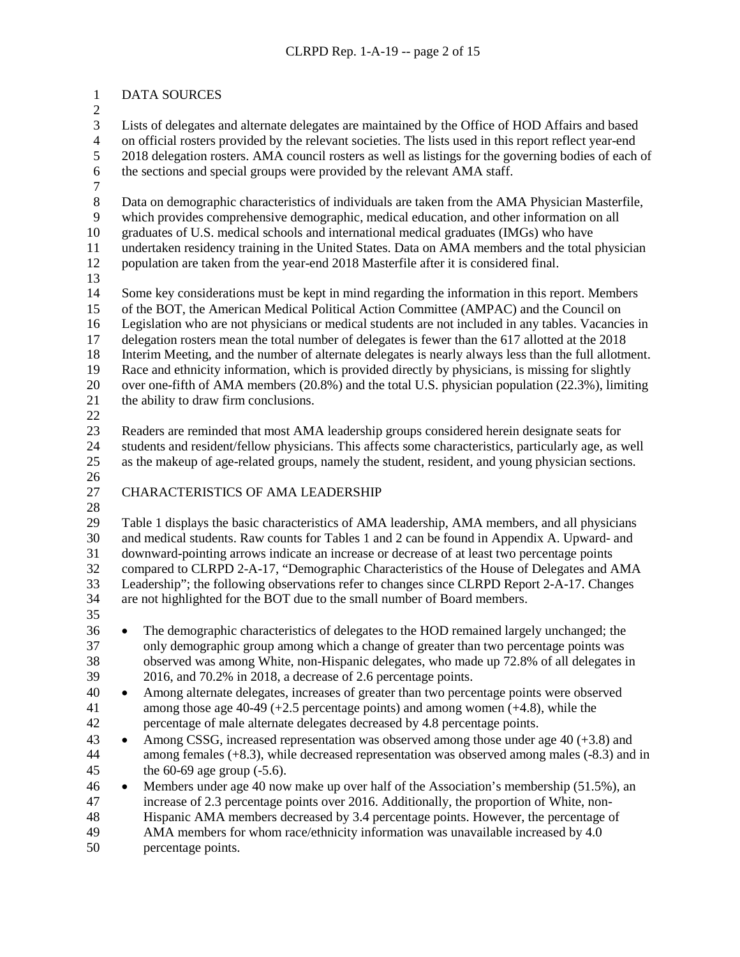### DATA SOURCES

 Lists of delegates and alternate delegates are maintained by the Office of HOD Affairs and based 4 on official rosters provided by the relevant societies. The lists used in this report reflect year-end<br>5 2018 delegation rosters. AMA council rosters as well as listings for the governing bodies of each 2018 delegation rosters. AMA council rosters as well as listings for the governing bodies of each of the sections and special groups were provided by the relevant AMA staff.

8 Data on demographic characteristics of individuals are taken from the AMA Physician Masterfile,<br>9 which provides comprehensive demographic, medical education, and other information on all

which provides comprehensive demographic, medical education, and other information on all graduates of U.S. medical schools and international medical graduates (IMGs) who have

undertaken residency training in the United States. Data on AMA members and the total physician

population are taken from the year-end 2018 Masterfile after it is considered final.

 Some key considerations must be kept in mind regarding the information in this report. Members of the BOT, the American Medical Political Action Committee (AMPAC) and the Council on Legislation who are not physicians or medical students are not included in any tables. Vacancies in delegation rosters mean the total number of delegates is fewer than the 617 allotted at the 2018 Interim Meeting, and the number of alternate delegates is nearly always less than the full allotment. Race and ethnicity information, which is provided directly by physicians, is missing for slightly over one-fifth of AMA members (20.8%) and the total U.S. physician population (22.3%), limiting the ability to draw firm conclusions.

 Readers are reminded that most AMA leadership groups considered herein designate seats for students and resident/fellow physicians. This affects some characteristics, particularly age, as well as the makeup of age-related groups, namely the student, resident, and young physician sections.

## CHARACTERISTICS OF AMA LEADERSHIP

 Table 1 displays the basic characteristics of AMA leadership, AMA members, and all physicians and medical students. Raw counts for Tables 1 and 2 can be found in Appendix A. Upward- and downward-pointing arrows indicate an increase or decrease of at least two percentage points compared to CLRPD 2-A-17, "Demographic Characteristics of the House of Delegates and AMA Leadership"; the following observations refer to changes since CLRPD Report 2-A-17. Changes are not highlighted for the BOT due to the small number of Board members.

 • The demographic characteristics of delegates to the HOD remained largely unchanged; the only demographic group among which a change of greater than two percentage points was observed was among White, non-Hispanic delegates, who made up 72.8% of all delegates in 2016, and 70.2% in 2018, a decrease of 2.6 percentage points.

 • Among alternate delegates, increases of greater than two percentage points were observed among those age 40-49 (+2.5 percentage points) and among women (+4.8), while the percentage of male alternate delegates decreased by 4.8 percentage points.

- Among CSSG, increased representation was observed among those under age 40 (+3.8) and among females (+8.3), while decreased representation was observed among males (-8.3) and in the 60-69 age group (-5.6).
- Members under age 40 now make up over half of the Association's membership (51.5%), an increase of 2.3 percentage points over 2016. Additionally, the proportion of White, non-Hispanic AMA members decreased by 3.4 percentage points. However, the percentage of
- AMA members for whom race/ethnicity information was unavailable increased by 4.0
- percentage points.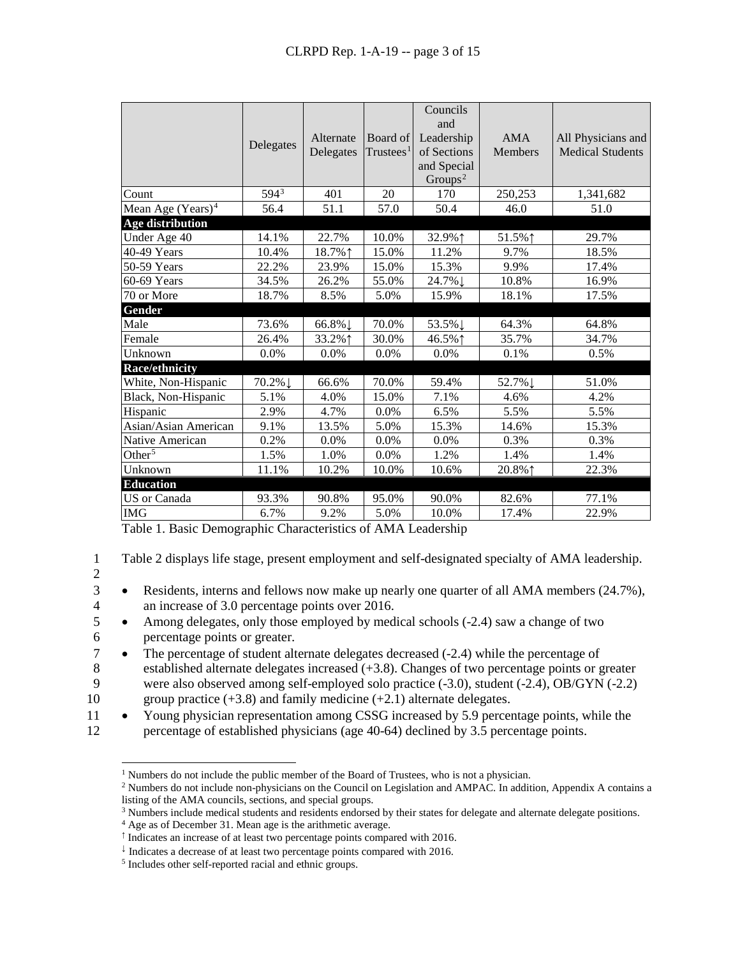|                                            | Delegates | Alternate<br>Delegates | Board of<br>$T$ rustees <sup>1</sup> | Councils<br>and<br>Leadership<br>of Sections<br>and Special<br>$Groups^2$ | <b>AMA</b><br><b>Members</b> | All Physicians and<br><b>Medical Students</b> |
|--------------------------------------------|-----------|------------------------|--------------------------------------|---------------------------------------------------------------------------|------------------------------|-----------------------------------------------|
| Count                                      | $594^3$   | 401                    | 20                                   | 170                                                                       | 250,253                      | 1,341,682                                     |
| Mean Age $(Years)^4$                       | 56.4      | 51.1                   | 57.0                                 | 50.4                                                                      | 46.0                         | 51.0                                          |
| Age distribution                           |           |                        |                                      |                                                                           |                              |                                               |
| Under Age 40                               | 14.1%     | 22.7%                  | 10.0%                                | 32.9%1                                                                    | 51.5%1                       | 29.7%                                         |
| 40-49 Years                                | 10.4%     | 18.7%1                 | 15.0%                                | 11.2%                                                                     | 9.7%                         | 18.5%                                         |
| 50-59 Years                                | 22.2%     | 23.9%                  | 15.0%                                | 15.3%                                                                     | 9.9%                         | 17.4%                                         |
| 60-69 Years                                | 34.5%     | 26.2%                  | 55.0%                                | 24.7%↓                                                                    | 10.8%                        | 16.9%                                         |
| 70 or More                                 | 18.7%     | 8.5%                   | 5.0%                                 | 15.9%                                                                     | 18.1%                        | 17.5%                                         |
| Gender                                     |           |                        |                                      |                                                                           |                              |                                               |
| Male                                       | 73.6%     | 66.8%↓                 | 70.0%                                | 53.5%↓                                                                    | 64.3%                        | 64.8%                                         |
| Female                                     | 26.4%     | 33.2%↑                 | 30.0%                                | 46.5%↑                                                                    | 35.7%                        | 34.7%                                         |
| Unknown                                    | $0.0\%$   | $0.0\%$                | $0.0\%$                              | $0.0\%$                                                                   | 0.1%                         | 0.5%                                          |
| <b>Race/ethnicity</b>                      |           |                        |                                      |                                                                           |                              |                                               |
| White, Non-Hispanic                        | 70.2%↓    | 66.6%                  | 70.0%                                | 59.4%                                                                     | 52.7%↓                       | 51.0%                                         |
| Black, Non-Hispanic                        | 5.1%      | 4.0%                   | 15.0%                                | 7.1%                                                                      | 4.6%                         | 4.2%                                          |
| Hispanic                                   | 2.9%      | 4.7%                   | $0.0\%$                              | 6.5%                                                                      | 5.5%                         | 5.5%                                          |
| Asian/Asian American                       | 9.1%      | 13.5%                  | 5.0%                                 | 15.3%                                                                     | 14.6%                        | 15.3%                                         |
| Native American                            | 0.2%      | 0.0%                   | 0.0%                                 | 0.0%                                                                      | 0.3%                         | 0.3%                                          |
| Other <sup><math>\overline{5}</math></sup> | 1.5%      | 1.0%                   | 0.0%                                 | 1.2%                                                                      | 1.4%                         | 1.4%                                          |
| Unknown                                    | 11.1%     | 10.2%                  | 10.0%                                | 10.6%                                                                     | 20.8%1                       | 22.3%                                         |
| <b>Education</b>                           |           |                        |                                      |                                                                           |                              |                                               |
| <b>US</b> or Canada                        | 93.3%     | 90.8%                  | 95.0%                                | 90.0%                                                                     | 82.6%                        | 77.1%                                         |
| <b>IMG</b>                                 | 6.7%      | 9.2%                   | 5.0%                                 | 10.0%                                                                     | 17.4%                        | 22.9%                                         |

Table 1. Basic Demographic Characteristics of AMA Leadership

- 1 Table 2 displays life stage, present employment and self-designated specialty of AMA leadership.
- 2
- Residents, interns and fellows now make up nearly one quarter of all AMA members (24.7%), an increase of 3.0 percentage points over 2016. an increase of 3.0 percentage points over 2016.
- 5 Among delegates, only those employed by medical schools (-2.4) saw a change of two 6 percentage points or greater.
- 7 The percentage of student alternate delegates decreased (-2.4) while the percentage of
- 8 established alternate delegates increased (+3.8). Changes of two percentage points or greater 9 were also observed among self-employed solo practice (-3.0), student (-2.4), OB/GYN (-2.2) 10 group practice  $(+3.8)$  and family medicine  $(+2.1)$  alternate delegates.
- <span id="page-2-1"></span><span id="page-2-0"></span>11 • Young physician representation among CSSG increased by 5.9 percentage points, while the 12 percentage of established physicians (age 40-64) declined by 3.5 percentage points.

<sup>&</sup>lt;sup>1</sup> Numbers do not include the public member of the Board of Trustees, who is not a physician.

<span id="page-2-2"></span><sup>2</sup> Numbers do not include non-physicians on the Council on Legislation and AMPAC. In addition, Appendix A contains a listing of the AMA councils, sections, and special groups.

<sup>&</sup>lt;sup>3</sup> Numbers include medical students and residents endorsed by their states for delegate and alternate delegate positions.

<span id="page-2-3"></span><sup>4</sup> Age as of December 31. Mean age is the arithmetic average.

<span id="page-2-4"></span><sup>↑</sup> Indicates an increase of at least two percentage points compared with 2016.

<sup>↓</sup> Indicates a decrease of at least two percentage points compared with 2016.

<span id="page-2-6"></span><span id="page-2-5"></span><sup>5</sup> Includes other self-reported racial and ethnic groups.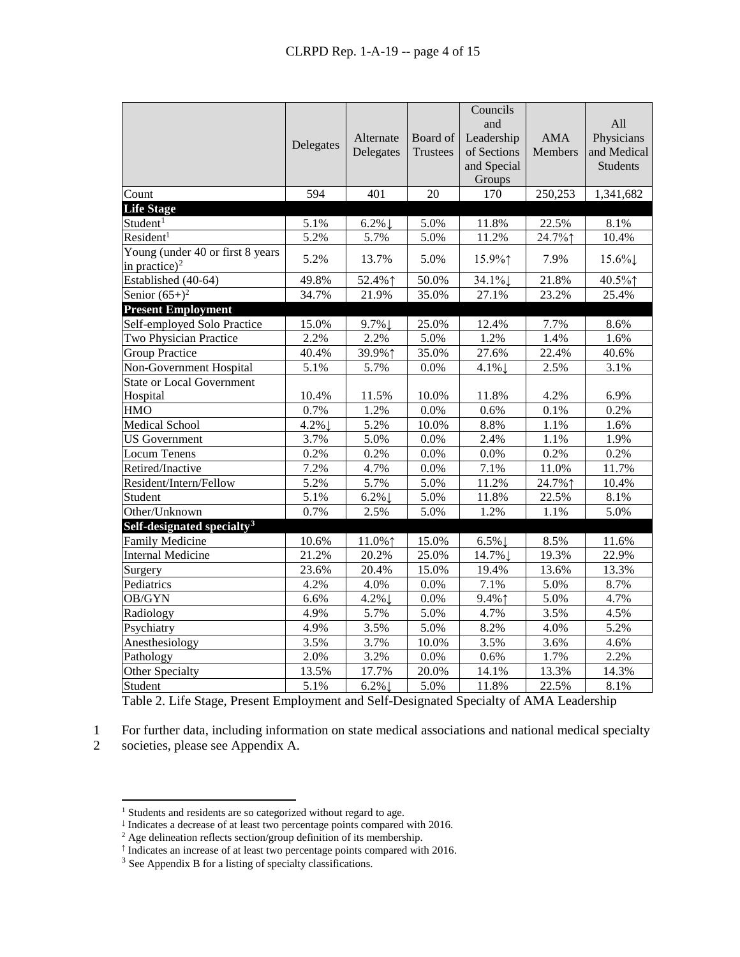|                                                       | Delegates | Alternate<br>Delegates | Board of<br><b>Trustees</b> | Councils<br>and<br>Leadership<br>of Sections<br>and Special<br>Groups | <b>AMA</b><br><b>Members</b> | All<br>Physicians<br>and Medical<br><b>Students</b> |
|-------------------------------------------------------|-----------|------------------------|-----------------------------|-----------------------------------------------------------------------|------------------------------|-----------------------------------------------------|
| Count                                                 | 594       | 401                    | 20                          | 170                                                                   | 250,253                      | 1,341,682                                           |
| <b>Life Stage</b>                                     |           |                        |                             |                                                                       |                              |                                                     |
| Student <sup>1</sup>                                  | 5.1%      | $6.2\%$                | 5.0%                        | 11.8%                                                                 | 22.5%                        | 8.1%                                                |
| Resident <sup>1</sup>                                 | 5.2%      | 5.7%                   | 5.0%                        | 11.2%                                                                 | 24.7%1                       | 10.4%                                               |
| Young (under 40 or first 8 years<br>in practice) $^2$ | 5.2%      | 13.7%                  | 5.0%                        | 15.9%↑                                                                | 7.9%                         | $15.6\%$                                            |
| Established (40-64)                                   | 49.8%     | 52.4% 1                | 50.0%                       | 34.1%                                                                 | 21.8%                        | 40.5%1                                              |
| Senior $(65+)$ <sup>2</sup>                           | 34.7%     | 21.9%                  | 35.0%                       | 27.1%                                                                 | 23.2%                        | 25.4%                                               |
| <b>Present Employment</b>                             |           |                        |                             |                                                                       |                              |                                                     |
| Self-employed Solo Practice                           | 15.0%     | 9.7%↓                  | 25.0%                       | 12.4%                                                                 | 7.7%                         | 8.6%                                                |
| Two Physician Practice                                | 2.2%      | 2.2%                   | 5.0%                        | 1.2%                                                                  | 1.4%                         | 1.6%                                                |
| <b>Group Practice</b>                                 | 40.4%     | 39.9%↑                 | 35.0%                       | 27.6%                                                                 | 22.4%                        | 40.6%                                               |
| Non-Government Hospital                               | 5.1%      | 5.7%                   | 0.0%                        | $4.1\%$                                                               | 2.5%                         | 3.1%                                                |
| <b>State or Local Government</b>                      |           |                        |                             |                                                                       |                              |                                                     |
| Hospital                                              | 10.4%     | 11.5%                  | 10.0%                       | 11.8%                                                                 | 4.2%                         | 6.9%                                                |
| <b>HMO</b>                                            | 0.7%      | 1.2%                   | 0.0%                        | 0.6%                                                                  | 0.1%                         | 0.2%                                                |
| Medical School                                        | $4.2\%$   | 5.2%                   | 10.0%                       | 8.8%                                                                  | 1.1%                         | 1.6%                                                |
| <b>US</b> Government                                  | 3.7%      | 5.0%                   | 0.0%                        | 2.4%                                                                  | 1.1%                         | 1.9%                                                |
| <b>Locum Tenens</b>                                   | 0.2%      | 0.2%                   | 0.0%                        | 0.0%                                                                  | 0.2%                         | 0.2%                                                |
| Retired/Inactive                                      | 7.2%      | 4.7%                   | 0.0%                        | 7.1%                                                                  | 11.0%                        | 11.7%                                               |
| Resident/Intern/Fellow                                | 5.2%      | 5.7%                   | 5.0%                        | 11.2%                                                                 | 24.7%1                       | 10.4%                                               |
| Student                                               | 5.1%      | $6.2\%$                | 5.0%                        | 11.8%                                                                 | 22.5%                        | 8.1%                                                |
| Other/Unknown                                         | 0.7%      | 2.5%                   | 5.0%                        | 1.2%                                                                  | 1.1%                         | 5.0%                                                |
| Self-designated specialty <sup>3</sup>                |           |                        |                             |                                                                       |                              |                                                     |
| <b>Family Medicine</b>                                | 10.6%     | 11.0%↑                 | 15.0%                       | $6.5\%$                                                               | 8.5%                         | 11.6%                                               |
| <b>Internal Medicine</b>                              | 21.2%     | 20.2%                  | 25.0%                       | 14.7% ↓                                                               | 19.3%                        | 22.9%                                               |
| Surgery                                               | 23.6%     | 20.4%                  | 15.0%                       | 19.4%                                                                 | 13.6%                        | 13.3%                                               |
| Pediatrics                                            | 4.2%      | 4.0%                   | $0.0\%$                     | 7.1%                                                                  | 5.0%                         | 8.7%                                                |
| OB/GYN                                                | 6.6%      | 4.2%                   | 0.0%                        | 9.4%1                                                                 | 5.0%                         | 4.7%                                                |
| Radiology                                             | 4.9%      | 5.7%                   | 5.0%                        | 4.7%                                                                  | 3.5%                         | 4.5%                                                |
| Psychiatry                                            | 4.9%      | 3.5%                   | 5.0%                        | 8.2%                                                                  | 4.0%                         | 5.2%                                                |
| Anesthesiology                                        | 3.5%      | 3.7%                   | 10.0%                       | 3.5%                                                                  | 3.6%                         | 4.6%                                                |
| Pathology                                             | 2.0%      | 3.2%                   | $0.0\%$                     | 0.6%                                                                  | 1.7%                         | 2.2%                                                |
| Other Specialty                                       | 13.5%     | 17.7%                  | 20.0%                       | 14.1%                                                                 | 13.3%                        | 14.3%                                               |
| Student                                               | 5.1%      | $6.2\%$                | 5.0%                        | 11.8%                                                                 | 22.5%                        | 8.1%                                                |

Table 2. Life Stage, Present Employment and Self-Designated Specialty of AMA Leadership

1 For further data, including information on state medical associations and national medical specialty

<span id="page-3-0"></span>2 societies, please see Appendix A.

<sup>&</sup>lt;sup>1</sup> Students and residents are so categorized without regard to age.

<sup>↓</sup> Indicates a decrease of at least two percentage points compared with 2016.

<span id="page-3-2"></span><span id="page-3-1"></span><sup>&</sup>lt;sup>2</sup> Age delineation reflects section/group definition of its membership.

<span id="page-3-3"></span><sup>↑</sup> Indicates an increase of at least two percentage points compared with 2016.

<span id="page-3-4"></span><sup>&</sup>lt;sup>3</sup> See Appendix B for a listing of specialty classifications.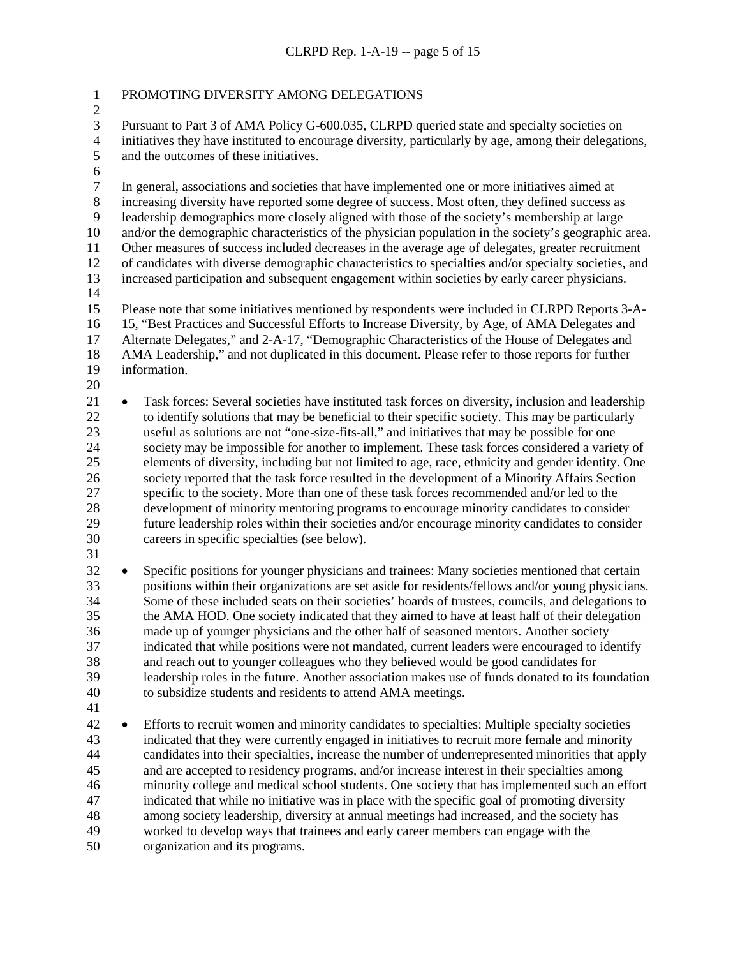| $\mathbf{1}$                                                                               | PROMOTING DIVERSITY AMONG DELEGATIONS                                                                                                                                                                                                                                                                                                                                                                                                                                                                                                                                                                                                                                                                                                                                                                                                                                                                                                                                                                                                                                                                                                          |
|--------------------------------------------------------------------------------------------|------------------------------------------------------------------------------------------------------------------------------------------------------------------------------------------------------------------------------------------------------------------------------------------------------------------------------------------------------------------------------------------------------------------------------------------------------------------------------------------------------------------------------------------------------------------------------------------------------------------------------------------------------------------------------------------------------------------------------------------------------------------------------------------------------------------------------------------------------------------------------------------------------------------------------------------------------------------------------------------------------------------------------------------------------------------------------------------------------------------------------------------------|
| $\overline{c}$<br>3<br>$\overline{4}$<br>5<br>$\sqrt{6}$                                   | Pursuant to Part 3 of AMA Policy G-600.035, CLRPD queried state and specialty societies on<br>initiatives they have instituted to encourage diversity, particularly by age, among their delegations,<br>and the outcomes of these initiatives.                                                                                                                                                                                                                                                                                                                                                                                                                                                                                                                                                                                                                                                                                                                                                                                                                                                                                                 |
| $\boldsymbol{7}$<br>$8\,$<br>9<br>10<br>11<br>12<br>13<br>14<br>15<br>16<br>17<br>18<br>19 | In general, associations and societies that have implemented one or more initiatives aimed at<br>increasing diversity have reported some degree of success. Most often, they defined success as<br>leadership demographics more closely aligned with those of the society's membership at large<br>and/or the demographic characteristics of the physician population in the society's geographic area.<br>Other measures of success included decreases in the average age of delegates, greater recruitment<br>of candidates with diverse demographic characteristics to specialties and/or specialty societies, and<br>increased participation and subsequent engagement within societies by early career physicians.<br>Please note that some initiatives mentioned by respondents were included in CLRPD Reports 3-A-<br>15, "Best Practices and Successful Efforts to Increase Diversity, by Age, of AMA Delegates and<br>Alternate Delegates," and 2-A-17, "Demographic Characteristics of the House of Delegates and<br>AMA Leadership," and not duplicated in this document. Please refer to those reports for further<br>information. |
| 20<br>21<br>$22\,$<br>23<br>24<br>25<br>26<br>27<br>28<br>29<br>30<br>31                   | Task forces: Several societies have instituted task forces on diversity, inclusion and leadership<br>$\bullet$<br>to identify solutions that may be beneficial to their specific society. This may be particularly<br>useful as solutions are not "one-size-fits-all," and initiatives that may be possible for one<br>society may be impossible for another to implement. These task forces considered a variety of<br>elements of diversity, including but not limited to age, race, ethnicity and gender identity. One<br>society reported that the task force resulted in the development of a Minority Affairs Section<br>specific to the society. More than one of these task forces recommended and/or led to the<br>development of minority mentoring programs to encourage minority candidates to consider<br>future leadership roles within their societies and/or encourage minority candidates to consider<br>careers in specific specialties (see below).                                                                                                                                                                         |
| 32<br>33<br>34<br>35<br>36<br>37<br>38<br>39<br>40<br>41                                   | Specific positions for younger physicians and trainees: Many societies mentioned that certain<br>$\bullet$<br>positions within their organizations are set aside for residents/fellows and/or young physicians.<br>Some of these included seats on their societies' boards of trustees, councils, and delegations to<br>the AMA HOD. One society indicated that they aimed to have at least half of their delegation<br>made up of younger physicians and the other half of seasoned mentors. Another society<br>indicated that while positions were not mandated, current leaders were encouraged to identify<br>and reach out to younger colleagues who they believed would be good candidates for<br>leadership roles in the future. Another association makes use of funds donated to its foundation<br>to subsidize students and residents to attend AMA meetings.                                                                                                                                                                                                                                                                        |
| 42<br>43<br>44<br>45<br>46<br>47<br>48<br>49                                               | Efforts to recruit women and minority candidates to specialties: Multiple specialty societies<br>$\bullet$<br>indicated that they were currently engaged in initiatives to recruit more female and minority<br>candidates into their specialties, increase the number of underrepresented minorities that apply<br>and are accepted to residency programs, and/or increase interest in their specialties among<br>minority college and medical school students. One society that has implemented such an effort<br>indicated that while no initiative was in place with the specific goal of promoting diversity<br>among society leadership, diversity at annual meetings had increased, and the society has<br>worked to develop ways that trainees and early career members can engage with the                                                                                                                                                                                                                                                                                                                                             |

organization and its programs.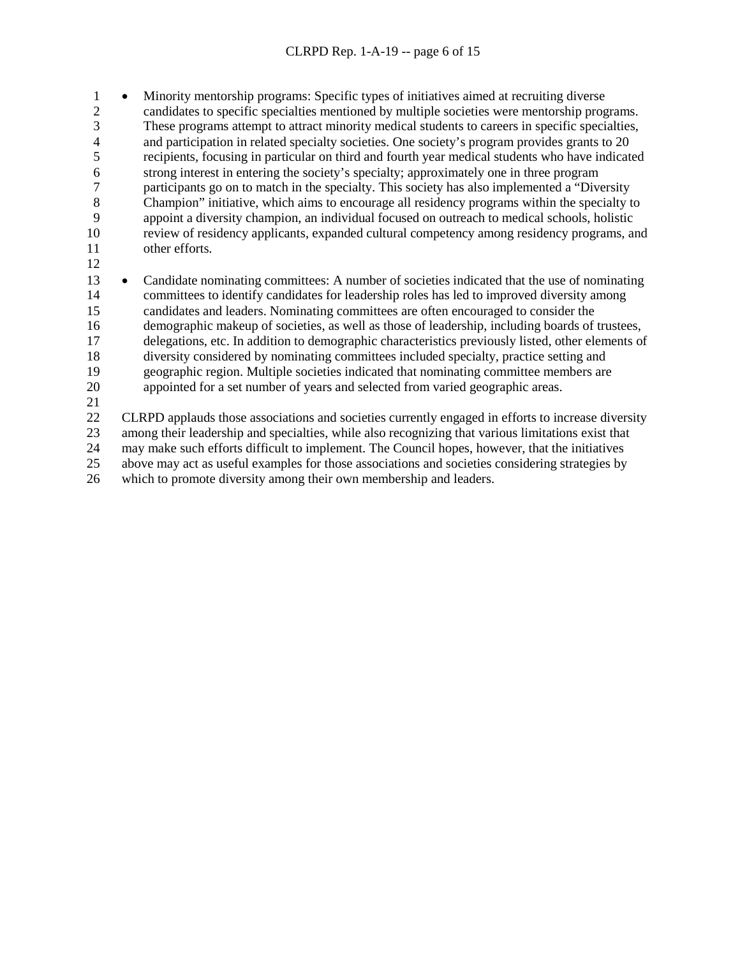• Minority mentorship programs: Specific types of initiatives aimed at recruiting diverse candidates to specific specialties mentioned by multiple societies were mentorship programs. 3 These programs attempt to attract minority medical students to careers in specific specialties,<br>4 and participation in related specialty societies. One society's program provides grants to 20 and participation in related specialty societies. One society's program provides grants to 20 recipients, focusing in particular on third and fourth year medical students who have indicated 6 strong interest in entering the society's specialty; approximately one in three program<br>
7 participants go on to match in the specialty. This society has also implemented a "Dive 7 participants go on to match in the specialty. This society has also implemented a "Diversity<br>8 Champion" initiative, which aims to encourage all residency programs within the specialty t Champion" initiative, which aims to encourage all residency programs within the specialty to 9 appoint a diversity champion, an individual focused on outreach to medical schools, holistic review of residency applicants, expanded cultural competency among residency programs, and review of residency applicants, expanded cultural competency among residency programs, and other efforts.

 • Candidate nominating committees: A number of societies indicated that the use of nominating committees to identify candidates for leadership roles has led to improved diversity among candidates and leaders. Nominating committees are often encouraged to consider the demographic makeup of societies, as well as those of leadership, including boards of trustees, delegations, etc. In addition to demographic characteristics previously listed, other elements of diversity considered by nominating committees included specialty, practice setting and geographic region. Multiple societies indicated that nominating committee members are appointed for a set number of years and selected from varied geographic areas.

 CLRPD applauds those associations and societies currently engaged in efforts to increase diversity among their leadership and specialties, while also recognizing that various limitations exist that may make such efforts difficult to implement. The Council hopes, however, that the initiatives above may act as useful examples for those associations and societies considering strategies by which to promote diversity among their own membership and leaders.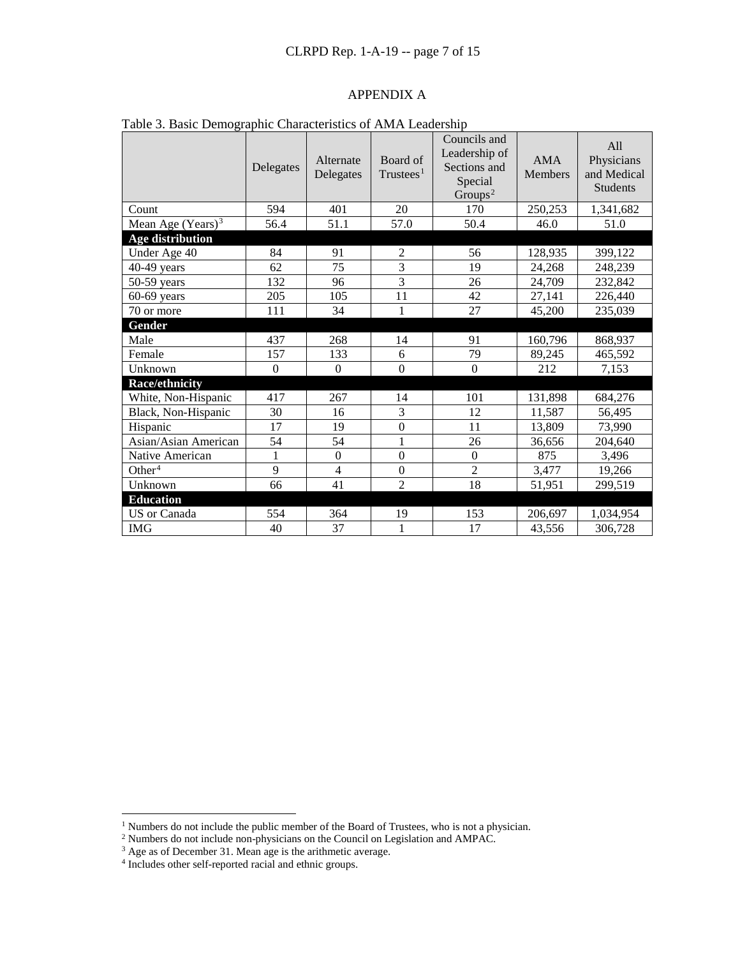### APPENDIX A

| Table 5. Dasie Demographie Characteristics of Tuvil's Leadership | Delegates | Alternate<br>Delegates | Board of<br>T<br>rustees <sup>1</sup> | Councils and<br>Leadership of<br>Sections and<br>Special<br>Groups <sup>2</sup> | <b>AMA</b><br><b>Members</b> | All<br>Physicians<br>and Medical<br><b>Students</b> |
|------------------------------------------------------------------|-----------|------------------------|---------------------------------------|---------------------------------------------------------------------------------|------------------------------|-----------------------------------------------------|
| Count                                                            | 594       | 401                    | 20                                    | 170                                                                             | 250,253                      | 1,341,682                                           |
| Mean Age $(Years)^3$                                             | 56.4      | 51.1                   | 57.0                                  | 50.4                                                                            | 46.0                         | 51.0                                                |
| <b>Age distribution</b>                                          |           |                        |                                       |                                                                                 |                              |                                                     |
| Under Age 40                                                     | 84        | 91                     | $\overline{2}$                        | 56                                                                              | 128,935                      | 399,122                                             |
| $40-49$ years                                                    | 62        | 75                     | 3                                     | 19                                                                              | 24,268                       | 248,239                                             |
| $50-59$ years                                                    | 132       | 96                     | 3                                     | 26                                                                              | 24,709                       | 232,842                                             |
| $60-69$ years                                                    | 205       | 105                    | 11                                    | 42                                                                              | 27,141                       | 226,440                                             |
| 70 or more                                                       | 111       | 34                     | 1                                     | 27                                                                              | 45,200                       | 235,039                                             |
| Gender                                                           |           |                        |                                       |                                                                                 |                              |                                                     |
| Male                                                             | 437       | 268                    | 14                                    | 91                                                                              | 160,796                      | 868,937                                             |
| Female                                                           | 157       | 133                    | 6                                     | 79                                                                              | 89,245                       | 465,592                                             |
| Unknown                                                          | $\Omega$  | $\Omega$               | $\overline{0}$                        | $\Omega$                                                                        | 212                          | 7,153                                               |
| <b>Race/ethnicity</b>                                            |           |                        |                                       |                                                                                 |                              |                                                     |
| White, Non-Hispanic                                              | 417       | 267                    | 14                                    | 101                                                                             | 131,898                      | 684,276                                             |
| Black, Non-Hispanic                                              | 30        | 16                     | 3                                     | 12                                                                              | 11,587                       | 56,495                                              |
| Hispanic                                                         | 17        | 19                     | $\boldsymbol{0}$                      | 11                                                                              | 13,809                       | 73,990                                              |
| Asian/Asian American                                             | 54        | 54                     | 1                                     | 26                                                                              | 36,656                       | 204,640                                             |
| Native American                                                  | 1         | $\mathbf{0}$           | $\boldsymbol{0}$                      | $\Omega$                                                                        | 875                          | 3,496                                               |
| Other <sup>4</sup>                                               | 9         | $\overline{4}$         | $\boldsymbol{0}$                      | $\overline{c}$                                                                  | 3,477                        | 19,266                                              |
| Unknown                                                          | 66        | 41                     | $\mathfrak{D}$                        | 18                                                                              | 51,951                       | 299,519                                             |
| <b>Education</b>                                                 |           |                        |                                       |                                                                                 |                              |                                                     |
| US or Canada                                                     | 554       | 364                    | 19                                    | 153                                                                             | 206,697                      | 1,034,954                                           |
| <b>IMG</b>                                                       | 40        | 37                     | 1                                     | 17                                                                              | 43,556                       | 306,728                                             |

|  | Table 3. Basic Demographic Characteristics of AMA Leadership |  |  |
|--|--------------------------------------------------------------|--|--|
|  |                                                              |  |  |

<sup>&</sup>lt;sup>1</sup> Numbers do not include the public member of the Board of Trustees, who is not a physician.

<span id="page-6-0"></span><sup>&</sup>lt;sup>2</sup> Numbers do not include non-physicians on the Council on Legislation and AMPAC.

<span id="page-6-2"></span><span id="page-6-1"></span> $3$  Age as of December 31. Mean age is the arithmetic average.

<span id="page-6-3"></span><sup>4</sup> Includes other self-reported racial and ethnic groups.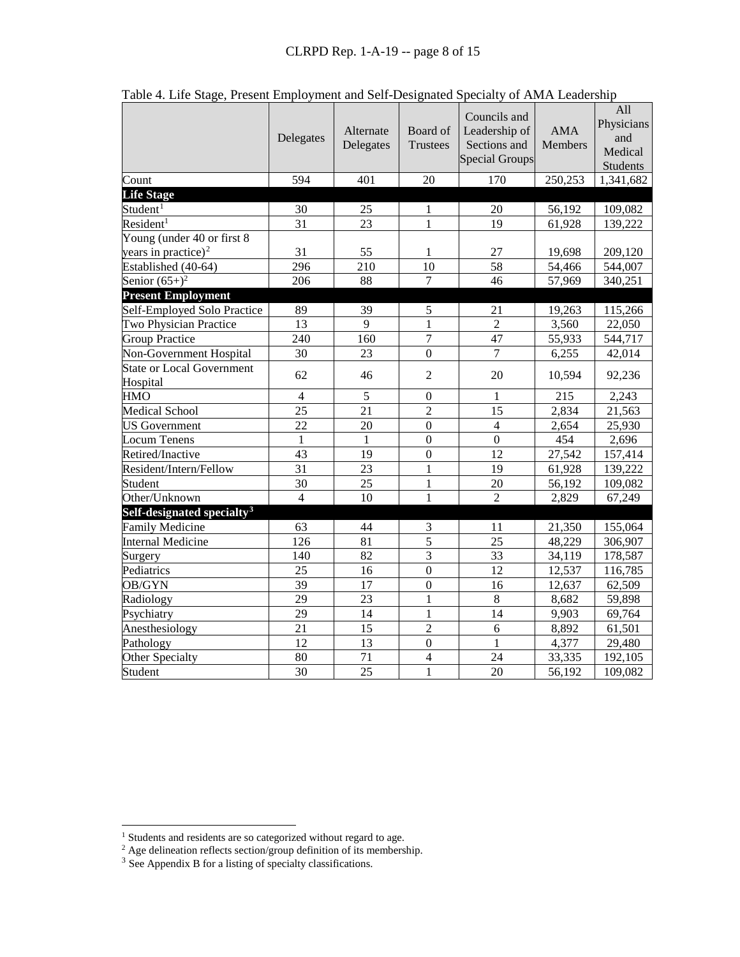|                                              | Delegates      | Alternate<br>Delegates | Board of<br><b>Trustees</b> | Councils and<br>Leadership of<br>Sections and<br><b>Special Groups</b> | <b>AMA</b><br><b>Members</b> | All<br>Physicians<br>and<br>Medical<br>Students |
|----------------------------------------------|----------------|------------------------|-----------------------------|------------------------------------------------------------------------|------------------------------|-------------------------------------------------|
| Count                                        | 594            | 401                    | 20                          | 170                                                                    | 250,253                      | 1,341,682                                       |
| <b>Life Stage</b>                            |                |                        |                             |                                                                        |                              |                                                 |
| Student <sup>1</sup>                         | 30             | 25                     | 1                           | 20                                                                     | 56,192                       | 109,082                                         |
| Resident <sup>1</sup>                        | 31             | 23                     | $\mathbf{1}$                | 19                                                                     | 61,928                       | 139,222                                         |
| Young (under 40 or first 8                   |                |                        |                             |                                                                        |                              |                                                 |
| years in practice) <sup>2</sup>              | 31             | 55                     | 1                           | 27                                                                     | 19,698                       | 209,120                                         |
| Established (40-64)                          | 296            | 210                    | 10                          | 58                                                                     | 54,466                       | 544,007                                         |
| Senior $(65+)$ <sup>2</sup>                  | 206            | 88                     | 7                           | 46                                                                     | 57,969                       | 340,251                                         |
| <b>Present Employment</b>                    |                |                        |                             |                                                                        |                              |                                                 |
| Self-Employed Solo Practice                  | 89             | 39                     | 5                           | 21                                                                     | 19,263                       | 115,266                                         |
| Two Physician Practice                       | 13             | 9                      | $\mathbf{1}$                | $\overline{2}$                                                         | 3,560                        | 22,050                                          |
| <b>Group Practice</b>                        | 240            | 160                    | $\overline{7}$              | 47                                                                     | 55,933                       | 544,717                                         |
| Non-Government Hospital                      | 30             | 23                     | $\mathbf{0}$                | $\overline{7}$                                                         | 6,255                        | 42,014                                          |
| <b>State or Local Government</b><br>Hospital | 62             | 46                     | $\overline{2}$              | 20                                                                     | 10,594                       | 92,236                                          |
| <b>HMO</b>                                   | $\overline{4}$ | 5                      | $\boldsymbol{0}$            | $\mathbf{1}$                                                           | 215                          | 2,243                                           |
| Medical School                               | 25             | 21                     | $\overline{2}$              | 15                                                                     | 2,834                        | 21,563                                          |
| <b>US</b> Government                         | 22             | 20                     | $\overline{0}$              | $\overline{4}$                                                         | 2,654                        | 25,930                                          |
| <b>Locum Tenens</b>                          | 1              | 1                      | $\overline{0}$              | $\overline{0}$                                                         | 454                          | 2,696                                           |
| Retired/Inactive                             | 43             | 19                     | $\overline{0}$              | 12                                                                     | 27,542                       | 157,414                                         |
| Resident/Intern/Fellow                       | 31             | 23                     | 1                           | 19                                                                     | 61,928                       | 139,222                                         |
| Student                                      | 30             | 25                     | $\mathbf{1}$                | 20                                                                     | 56,192                       | 109,082                                         |
| Other/Unknown                                | $\overline{4}$ | 10                     | $\mathbf{1}$                | $\overline{2}$                                                         | 2,829                        | 67,249                                          |
| Self-designated specialty <sup>3</sup>       |                |                        |                             |                                                                        |                              |                                                 |
| <b>Family Medicine</b>                       | 63             | 44                     | 3                           | 11                                                                     | 21,350                       | 155,064                                         |
| <b>Internal Medicine</b>                     | 126            | 81                     | $\overline{5}$              | 25                                                                     | 48,229                       | 306,907                                         |
| Surgery                                      | 140            | 82                     | $\overline{3}$              | 33                                                                     | 34,119                       | 178,587                                         |
| Pediatrics                                   | 25             | 16                     | $\mathbf{0}$                | 12                                                                     | 12,537                       | 116,785                                         |
| OB/GYN                                       | 39             | 17                     | $\boldsymbol{0}$            | 16                                                                     | 12,637                       | 62,509                                          |
| Radiology                                    | 29             | 23                     | $\mathbf{1}$                | $8\,$                                                                  | 8,682                        | 59,898                                          |
| Psychiatry                                   | 29             | 14                     | $\mathbf{1}$                | 14                                                                     | 9,903                        | 69,764                                          |
| Anesthesiology                               | 21             | 15                     | $\overline{2}$              | 6                                                                      | 8,892                        | 61,501                                          |
| Pathology                                    | 12             | 13                     | $\overline{0}$              | $\mathbf{1}$                                                           | 4,377                        | 29,480                                          |
| Other Specialty                              | 80             | 71                     | $\overline{4}$              | 24                                                                     | 33,335                       | 192,105                                         |
| Student                                      | 30             | 25                     | $\mathbf{1}$                | 20                                                                     | 56,192                       | 109,082                                         |

Table 4. Life Stage, Present Employment and Self-Designated Specialty of AMA Leadership

<span id="page-7-2"></span><span id="page-7-1"></span> $3$  See Appendix B for a listing of specialty classifications.

<span id="page-7-0"></span><sup>&</sup>lt;sup>1</sup> Students and residents are so categorized without regard to age.

 $2$  Age delineation reflects section/group definition of its membership.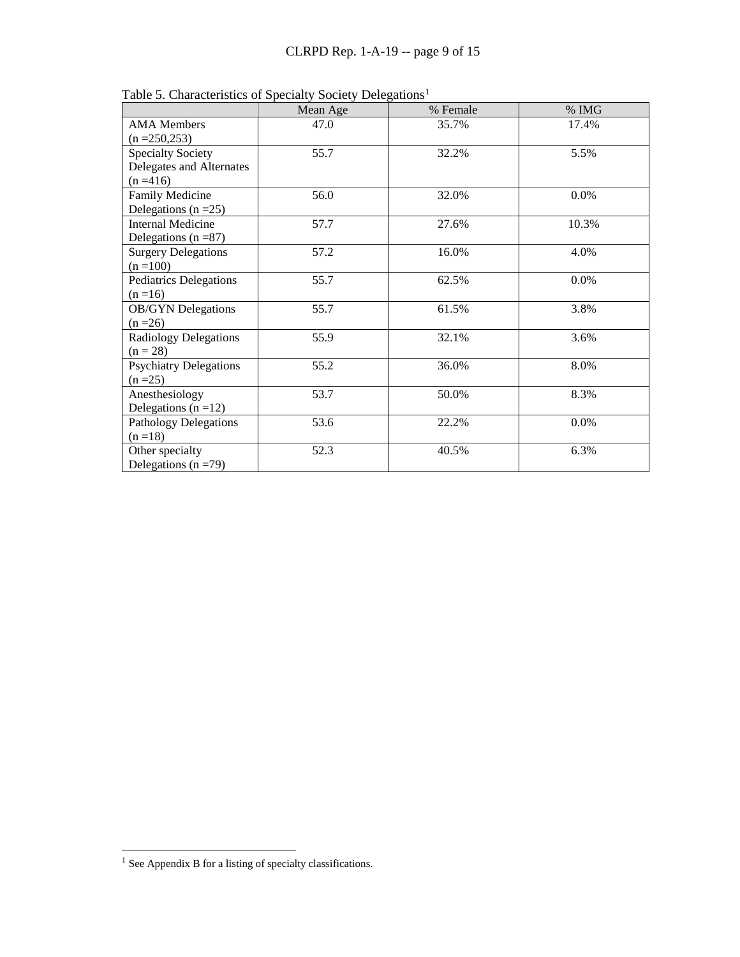|                                                                     | Mean Age | % Female | $\%$ IMG |
|---------------------------------------------------------------------|----------|----------|----------|
| <b>AMA</b> Members<br>$(n = 250, 253)$                              | 47.0     | 35.7%    | 17.4%    |
| <b>Specialty Society</b><br>Delegates and Alternates<br>$(n = 416)$ | 55.7     | 32.2%    | 5.5%     |
| Family Medicine<br>Delegations ( $n = 25$ )                         | 56.0     | 32.0%    | $0.0\%$  |
| <b>Internal Medicine</b><br>Delegations ( $n = 87$ )                | 57.7     | 27.6%    | 10.3%    |
| <b>Surgery Delegations</b><br>$(n = 100)$                           | 57.2     | 16.0%    | 4.0%     |
| <b>Pediatrics Delegations</b><br>$(n=16)$                           | 55.7     | 62.5%    | 0.0%     |
| <b>OB/GYN</b> Delegations<br>$(n = 26)$                             | 55.7     | 61.5%    | 3.8%     |
| <b>Radiology Delegations</b><br>$(n = 28)$                          | 55.9     | 32.1%    | 3.6%     |
| <b>Psychiatry Delegations</b><br>$(n = 25)$                         | 55.2     | 36.0%    | 8.0%     |
| Anesthesiology<br>Delegations $(n=12)$                              | 53.7     | 50.0%    | 8.3%     |
| <b>Pathology Delegations</b><br>$(n=18)$                            | 53.6     | 22.2%    | 0.0%     |
| Other specialty<br>Delegations ( $n = 79$ )                         | 52.3     | 40.5%    | 6.3%     |

Table 5. Characteristics of Specialty Society Delegations<sup>[1](#page-8-0)</sup>

<span id="page-8-0"></span> $\frac{1}{1}$  See Appendix B for a listing of specialty classifications.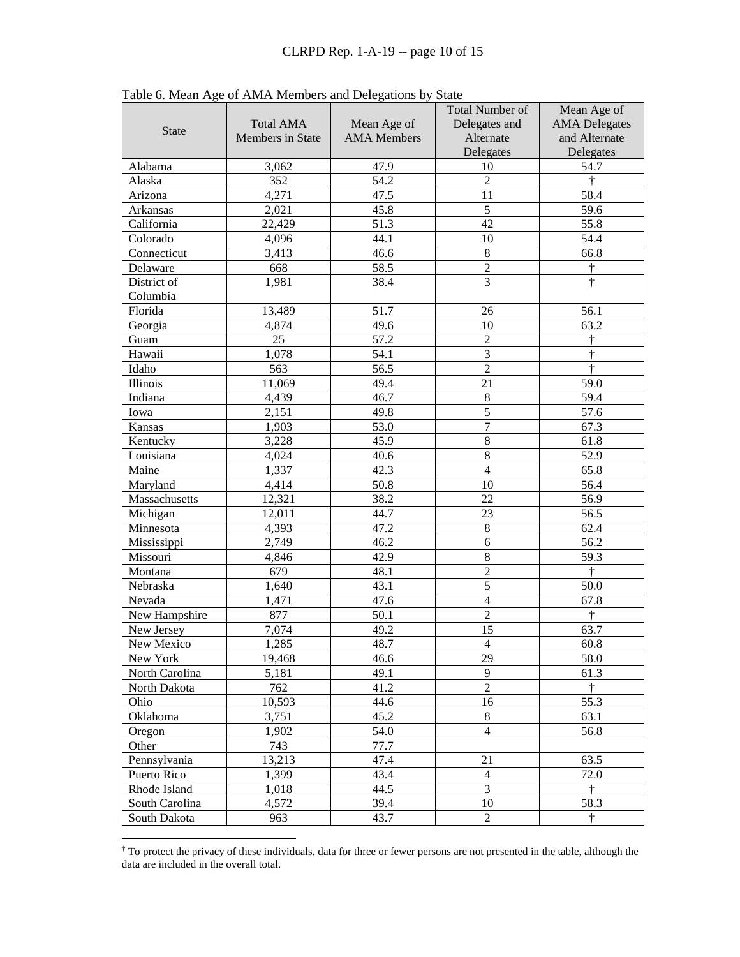| <b>State</b>   | <b>Total AMA</b><br>Members in State | Mean Age of<br><b>AMA</b> Members | Total Number of<br>Delegates and<br>Alternate<br>Delegates | Mean Age of<br><b>AMA</b> Delegates<br>and Alternate<br>Delegates |
|----------------|--------------------------------------|-----------------------------------|------------------------------------------------------------|-------------------------------------------------------------------|
| Alabama        | 3,062                                | 47.9                              | 10                                                         | 54.7                                                              |
| Alaska         | 352                                  | 54.2                              | $\boldsymbol{2}$                                           | $\dagger$                                                         |
| Arizona        | 4,271                                | 47.5                              | 11                                                         | 58.4                                                              |
| Arkansas       | 2,021                                | 45.8                              | 5                                                          | 59.6                                                              |
| California     | 22,429                               | 51.3                              | 42                                                         | 55.8                                                              |
| Colorado       | 4,096                                | 44.1                              | 10                                                         | 54.4                                                              |
| Connecticut    | 3,413                                | 46.6                              | $\,8\,$                                                    | 66.8                                                              |
| Delaware       | 668                                  | 58.5                              | $\sqrt{2}$                                                 | $\dagger$                                                         |
| District of    | 1,981                                | 38.4                              | $\overline{3}$                                             | $\dagger$                                                         |
| Columbia       |                                      |                                   |                                                            |                                                                   |
| Florida        | 13,489                               | 51.7                              | 26                                                         | 56.1                                                              |
| Georgia        | 4,874                                | 49.6                              | 10                                                         | 63.2                                                              |
| Guam           | 25                                   | 57.2                              | $\boldsymbol{2}$                                           | ŧ                                                                 |
| Hawaii         | 1,078                                | 54.1                              | $\mathfrak{Z}$                                             | Ť                                                                 |
| Idaho          | 563                                  | 56.5                              | $\overline{2}$                                             | $\dagger$                                                         |
| Illinois       | 11,069                               | 49.4                              | 21                                                         | 59.0                                                              |
| Indiana        | 4,439                                | 46.7                              | $\,8\,$                                                    | 59.4                                                              |
| Iowa           | 2,151                                | 49.8                              | $\sqrt{5}$                                                 | 57.6                                                              |
| Kansas         | 1,903                                | 53.0                              | $\boldsymbol{7}$                                           | 67.3                                                              |
| Kentucky       | 3,228                                | 45.9                              | $\,8\,$                                                    | 61.8                                                              |
| Louisiana      | 4,024                                | 40.6                              | $\,8\,$                                                    | 52.9                                                              |
| Maine          | 1,337                                | 42.3                              | $\overline{4}$                                             | 65.8                                                              |
| Maryland       | 4,414                                | 50.8                              | 10                                                         | 56.4                                                              |
| Massachusetts  | 12,321                               | 38.2                              | 22                                                         | 56.9                                                              |
| Michigan       | 12,011                               | 44.7                              | 23                                                         | 56.5                                                              |
| Minnesota      | 4,393                                | 47.2                              | $\,8\,$                                                    | 62.4                                                              |
| Mississippi    | 2,749                                | 46.2                              | $\sqrt{6}$                                                 | 56.2                                                              |
| Missouri       | 4,846                                | 42.9                              | $\,8\,$                                                    | 59.3                                                              |
| Montana        | 679                                  | 48.1                              | $\overline{2}$                                             | $\dagger$                                                         |
| Nebraska       | 1,640                                | 43.1                              | $\overline{5}$                                             | 50.0                                                              |
| Nevada         | 1,471                                | 47.6                              | $\overline{4}$                                             | 67.8                                                              |
| New Hampshire  | 877                                  | 50.1                              | $\overline{2}$                                             | $\dagger$                                                         |
| New Jersey     | 7,074                                | 49.2                              | 15                                                         | 63.7                                                              |
| New Mexico     | 1,285                                | 48.7                              | $\overline{4}$                                             | 60.8                                                              |
| New York       | 19,468                               | 46.6                              | 29                                                         | 58.0                                                              |
| North Carolina | 5,181                                | 49.1                              | 9                                                          | 61.3                                                              |
| North Dakota   | 762                                  | 41.2                              | $\overline{2}$                                             | $\dagger$                                                         |
| Ohio           | 10,593                               | 44.6                              | 16                                                         | 55.3                                                              |
| Oklahoma       | 3,751                                | 45.2                              | 8                                                          | 63.1                                                              |
| Oregon         | 1,902                                | 54.0                              | $\overline{4}$                                             | 56.8                                                              |
| Other          | 743                                  | 77.7                              |                                                            |                                                                   |
| Pennsylvania   | 13,213                               | 47.4                              | 21                                                         | 63.5                                                              |
| Puerto Rico    | 1,399                                | 43.4                              | $\overline{4}$                                             | 72.0                                                              |
| Rhode Island   | 1,018                                | 44.5                              | 3                                                          | $\dagger$                                                         |
| South Carolina | 4,572                                | 39.4                              | 10                                                         | 58.3                                                              |
| South Dakota   | 963                                  | 43.7                              | $\overline{2}$                                             | $\dagger$                                                         |

Table 6. Mean Age of AMA Members and Delegations by State

<span id="page-9-0"></span> <sup>†</sup> To protect the privacy of these individuals, data for three or fewer persons are not presented in the table, although the data are included in the overall total.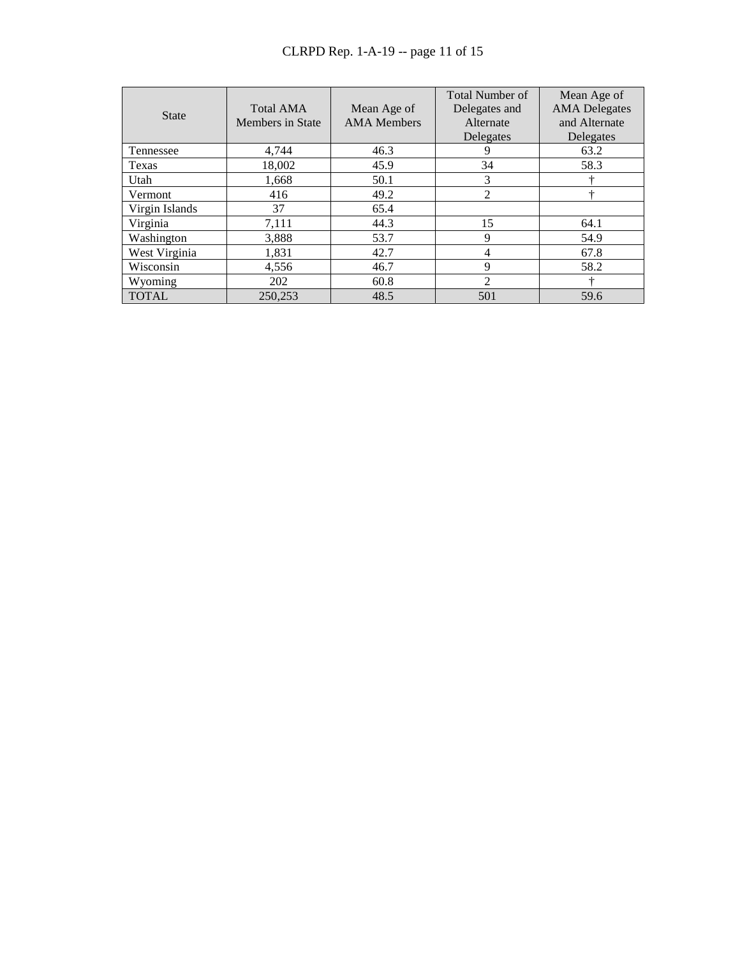# CLRPD Rep. 1-A-19 -- page 11 of 15

| <b>State</b>   | <b>Total AMA</b><br><b>Members</b> in State | Mean Age of<br><b>AMA</b> Members | <b>Total Number of</b><br>Delegates and<br>Alternate<br>Delegates | Mean Age of<br><b>AMA</b> Delegates<br>and Alternate<br>Delegates |
|----------------|---------------------------------------------|-----------------------------------|-------------------------------------------------------------------|-------------------------------------------------------------------|
| Tennessee      | 4,744                                       | 46.3                              | 9                                                                 | 63.2                                                              |
| Texas          | 18,002                                      | 45.9                              | 34                                                                | 58.3                                                              |
| Utah           | 1,668                                       | 50.1                              | 3                                                                 |                                                                   |
| Vermont        | 416                                         | 49.2                              | $\overline{2}$                                                    | 4                                                                 |
| Virgin Islands | 37                                          | 65.4                              |                                                                   |                                                                   |
| Virginia       | 7,111                                       | 44.3                              | 15                                                                | 64.1                                                              |
| Washington     | 3,888                                       | 53.7                              | 9                                                                 | 54.9                                                              |
| West Virginia  | 1,831                                       | 42.7                              | 4                                                                 | 67.8                                                              |
| Wisconsin      | 4,556                                       | 46.7                              | 9                                                                 | 58.2                                                              |
| Wyoming        | 202                                         | 60.8                              | $\overline{2}$                                                    |                                                                   |
| <b>TOTAL</b>   | 250,253                                     | 48.5                              | 501                                                               | 59.6                                                              |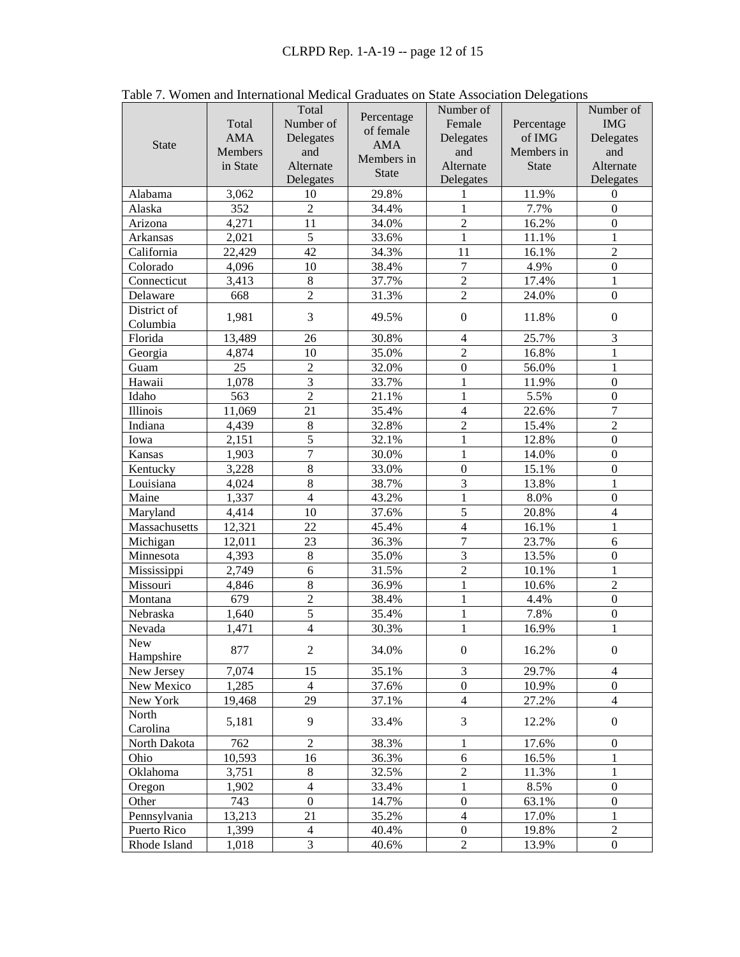|               |            | Total            |              | Number of        |              | Number of        |
|---------------|------------|------------------|--------------|------------------|--------------|------------------|
|               | Total      | Number of        | Percentage   | Female           | Percentage   | <b>IMG</b>       |
|               | <b>AMA</b> | Delegates        | of female    | Delegates        | of IMG       | Delegates        |
| <b>State</b>  | Members    | and              | <b>AMA</b>   | and              | Members in   | and              |
|               | in State   | Alternate        | Members in   | Alternate        | <b>State</b> | Alternate        |
|               |            | Delegates        | <b>State</b> | Delegates        |              | Delegates        |
| Alabama       | 3,062      | 10               | 29.8%        | 1                | 11.9%        | $\overline{0}$   |
| Alaska        | 352        | $\overline{2}$   | 34.4%        | $\mathbf{1}$     | 7.7%         | $\theta$         |
| Arizona       | 4,271      | 11               | 34.0%        | $\overline{2}$   | 16.2%        | $\mathbf{0}$     |
| Arkansas      | 2,021      | $\overline{5}$   | 33.6%        | $\mathbf{1}$     | 11.1%        | 1                |
| California    | 22,429     | 42               | 34.3%        | 11               | 16.1%        | $\overline{2}$   |
| Colorado      | 4,096      | 10               | 38.4%        | $\overline{7}$   | 4.9%         | $\overline{0}$   |
| Connecticut   | 3,413      | $8\,$            | 37.7%        | $\overline{2}$   | 17.4%        | 1                |
| Delaware      | 668        | $\overline{2}$   | 31.3%        | $\overline{2}$   | 24.0%        | $\overline{0}$   |
| District of   |            | 3                |              |                  |              |                  |
| Columbia      | 1,981      |                  | 49.5%        | $\boldsymbol{0}$ | 11.8%        | $\overline{0}$   |
| Florida       | 13,489     | 26               | 30.8%        | $\overline{4}$   | 25.7%        | 3                |
| Georgia       | 4,874      | 10               | 35.0%        | $\overline{2}$   | 16.8%        | 1                |
| Guam          | 25         | $\overline{2}$   | 32.0%        | $\boldsymbol{0}$ | 56.0%        | 1                |
| Hawaii        | 1,078      | 3                | 33.7%        | $\mathbf{1}$     | 11.9%        | $\boldsymbol{0}$ |
| Idaho         | 563        | $\overline{2}$   | 21.1%        | $\mathbf{1}$     | 5.5%         | $\boldsymbol{0}$ |
| Illinois      | 11,069     | 21               | 35.4%        | $\overline{4}$   | 22.6%        | $\overline{7}$   |
| Indiana       | 4,439      | $8\,$            | 32.8%        | $\overline{2}$   | 15.4%        | $\overline{2}$   |
| Iowa          | 2,151      | 5                | 32.1%        | $\mathbf{1}$     | 12.8%        | $\boldsymbol{0}$ |
| Kansas        | 1,903      | 7                | 30.0%        | $\mathbf{1}$     | 14.0%        | $\boldsymbol{0}$ |
| Kentucky      | 3,228      | $8\,$            | 33.0%        | $\boldsymbol{0}$ | 15.1%        | $\boldsymbol{0}$ |
| Louisiana     | 4,024      | 8                | 38.7%        | 3                | 13.8%        | 1                |
| Maine         | 1,337      | $\overline{4}$   | 43.2%        | $\mathbf{1}$     | 8.0%         | $\boldsymbol{0}$ |
| Maryland      | 4,414      | 10               | 37.6%        | 5                | 20.8%        | $\overline{4}$   |
| Massachusetts | 12,321     | 22               | 45.4%        | $\overline{4}$   | 16.1%        | 1                |
| Michigan      | 12,011     | 23               | 36.3%        | $\overline{7}$   | 23.7%        | 6                |
| Minnesota     | 4,393      | $8\,$            | 35.0%        | 3                | 13.5%        | $\boldsymbol{0}$ |
| Mississippi   | 2,749      | 6                | 31.5%        | $\overline{2}$   | 10.1%        | $\mathbf{1}$     |
| Missouri      | 4,846      | 8                | 36.9%        | $\mathbf{1}$     | 10.6%        | $\overline{2}$   |
| Montana       | 679        | $\overline{2}$   | 38.4%        | $\mathbf{1}$     | 4.4%         | $\boldsymbol{0}$ |
| Nebraska      | 1,640      | 5                | 35.4%        | $\mathbf{1}$     | 7.8%         | $\boldsymbol{0}$ |
| Nevada        | 1,471      | $\overline{4}$   | 30.3%        | $\mathbf{1}$     | 16.9%        | $\mathbf{1}$     |
| New           |            |                  |              |                  |              |                  |
| Hampshire     | 877        | $\boldsymbol{2}$ | 34.0%        | $\boldsymbol{0}$ | 16.2%        | $\mathbf{0}$     |
| New Jersey    | 7,074      | 15               | 35.1%        | 3                | 29.7%        | $\overline{4}$   |
| New Mexico    | 1,285      | $\overline{4}$   | 37.6%        | $\boldsymbol{0}$ | 10.9%        | $\mathbf{0}$     |
| New York      | 19,468     | 29               | 37.1%        | $\overline{4}$   | 27.2%        | $\overline{4}$   |
| North         |            | 9                |              |                  |              |                  |
| Carolina      | 5,181      |                  | 33.4%        | $\mathfrak{Z}$   | 12.2%        | $\mathbf{0}$     |
| North Dakota  | 762        | $\overline{c}$   | 38.3%        | 1                | 17.6%        | $\boldsymbol{0}$ |
| Ohio          | 10,593     | 16               | 36.3%        | 6                | 16.5%        | 1                |
| Oklahoma      | 3,751      | $8\,$            | 32.5%        | $\sqrt{2}$       | 11.3%        | 1                |
| Oregon        | 1,902      | $\overline{4}$   | 33.4%        | $\mathbf{1}$     | 8.5%         | $\boldsymbol{0}$ |
| Other         | 743        | $\boldsymbol{0}$ | 14.7%        | $\boldsymbol{0}$ | 63.1%        | $\boldsymbol{0}$ |
| Pennsylvania  | 13,213     | 21               | 35.2%        | $\overline{4}$   | 17.0%        | 1                |
| Puerto Rico   | 1,399      | $\overline{4}$   | 40.4%        | $\boldsymbol{0}$ | 19.8%        | $\sqrt{2}$       |
| Rhode Island  | 1,018      | 3                | 40.6%        | $\sqrt{2}$       | 13.9%        | $\mathbf{0}$     |

Table 7. Women and International Medical Graduates on State Association Delegations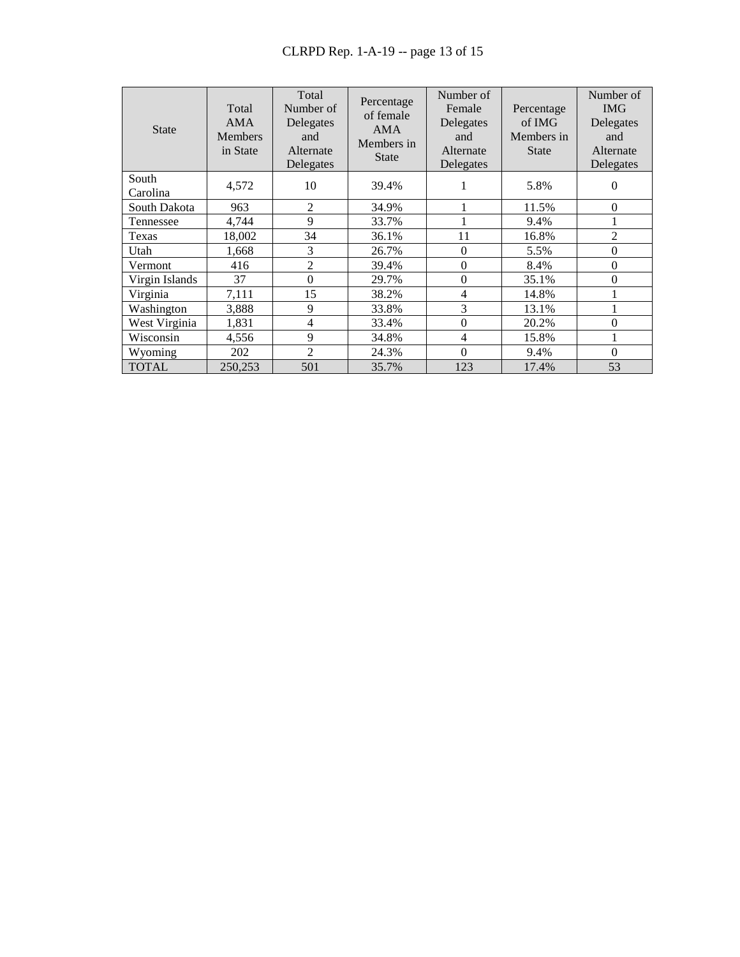| <b>State</b>      | Total<br><b>AMA</b><br><b>Members</b><br>in State | Total<br>Number of<br>Delegates<br>and<br>Alternate<br>Delegates | Percentage<br>of female<br><b>AMA</b><br>Members in<br><b>State</b> | Number of<br>Female<br>Delegates<br>and<br>Alternate<br>Delegates | Percentage<br>of IMG<br>Members in<br><b>State</b> | Number of<br><b>IMG</b><br>Delegates<br>and<br>Alternate<br>Delegates |
|-------------------|---------------------------------------------------|------------------------------------------------------------------|---------------------------------------------------------------------|-------------------------------------------------------------------|----------------------------------------------------|-----------------------------------------------------------------------|
| South<br>Carolina | 4,572                                             | 10                                                               | 39.4%                                                               | 1                                                                 | 5.8%                                               | $\Omega$                                                              |
| South Dakota      | 963                                               | 2                                                                | 34.9%                                                               | ı                                                                 | 11.5%                                              | $\theta$                                                              |
| Tennessee         | 4,744                                             | 9                                                                | 33.7%                                                               | 1                                                                 | 9.4%                                               |                                                                       |
| Texas             | 18,002                                            | 34                                                               | 36.1%                                                               | 11                                                                | 16.8%                                              | $\overline{2}$                                                        |
| Utah              | 1,668                                             | 3                                                                | 26.7%                                                               | $\theta$                                                          | 5.5%                                               | $\theta$                                                              |
| Vermont           | 416                                               | $\overline{2}$                                                   | 39.4%                                                               | $\theta$                                                          | 8.4%                                               | $\theta$                                                              |
| Virgin Islands    | 37                                                | $\theta$                                                         | 29.7%                                                               | $\theta$                                                          | 35.1%                                              | $\theta$                                                              |
| Virginia          | 7,111                                             | 15                                                               | 38.2%                                                               | 4                                                                 | 14.8%                                              | 1                                                                     |
| Washington        | 3,888                                             | 9                                                                | 33.8%                                                               | 3                                                                 | 13.1%                                              | 1                                                                     |
| West Virginia     | 1,831                                             | 4                                                                | 33.4%                                                               | $\boldsymbol{0}$                                                  | 20.2%                                              | $\theta$                                                              |
| Wisconsin         | 4,556                                             | 9                                                                | 34.8%                                                               | $\overline{4}$                                                    | 15.8%                                              |                                                                       |
| Wyoming           | 202                                               | $\overline{2}$                                                   | 24.3%                                                               | $\theta$                                                          | 9.4%                                               | $\boldsymbol{0}$                                                      |
| <b>TOTAL</b>      | 250,253                                           | 501                                                              | 35.7%                                                               | 123                                                               | 17.4%                                              | 53                                                                    |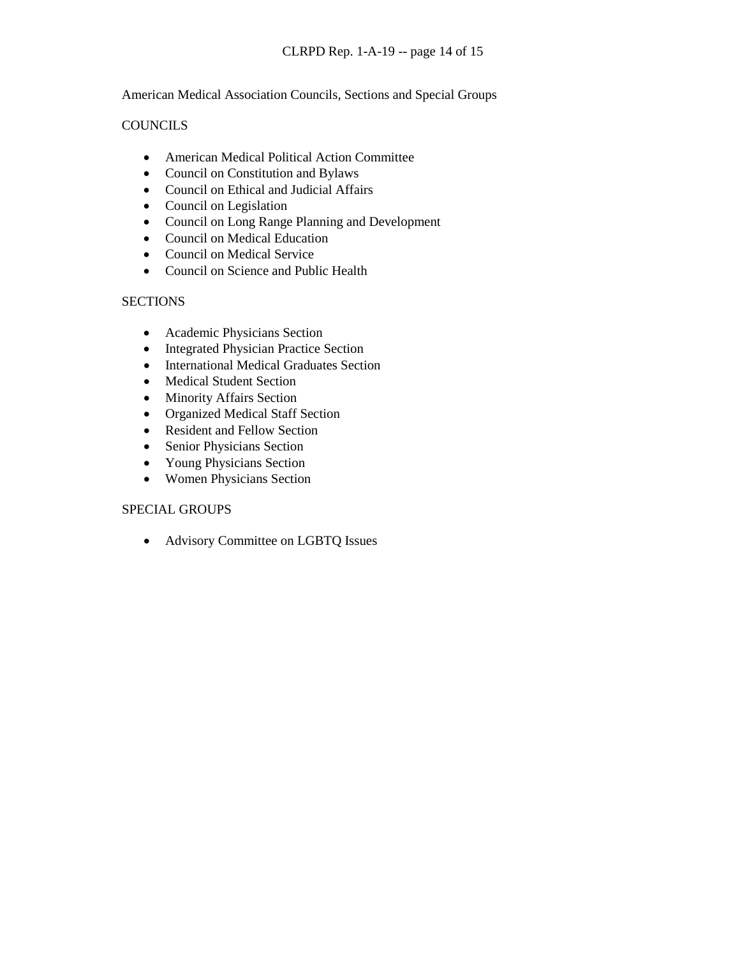American Medical Association Councils, Sections and Special Groups

### **COUNCILS**

- American Medical Political Action Committee
- Council on Constitution and Bylaws
- Council on Ethical and Judicial Affairs
- Council on Legislation
- Council on Long Range Planning and Development
- Council on Medical Education
- Council on Medical Service
- Council on Science and Public Health

### **SECTIONS**

- Academic Physicians Section
- Integrated Physician Practice Section
- International Medical Graduates Section
- Medical Student Section
- Minority Affairs Section
- Organized Medical Staff Section
- Resident and Fellow Section
- Senior Physicians Section
- Young Physicians Section
- Women Physicians Section

### SPECIAL GROUPS

• Advisory Committee on LGBTQ Issues